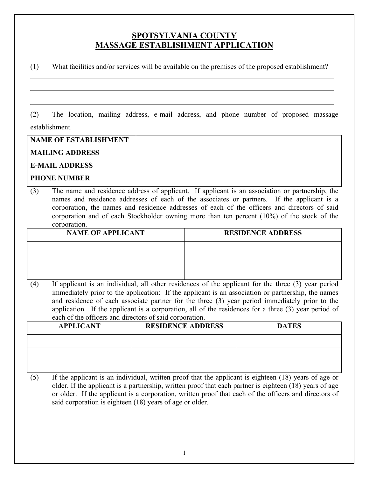## **SPOTSYLVANIA COUNTY MASSAGE ESTABLISHMENT APPLICATION**

(1) What facilities and/or services will be available on the premises of the proposed establishment?

(2) The location, mailing address, e-mail address, and phone number of proposed massage establishment.

 $\overline{a}$ 

| <b>NAME OF ESTABLISHMENT</b> |  |
|------------------------------|--|
| <b>MAILING ADDRESS</b>       |  |
| <b>E-MAIL ADDRESS</b>        |  |
| <b>PHONE NUMBER</b>          |  |

(3) The name and residence address of applicant. If applicant is an association or partnership, the names and residence addresses of each of the associates or partners. If the applicant is a corporation, the names and residence addresses of each of the officers and directors of said corporation and of each Stockholder owning more than ten percent (10%) of the stock of the corporation.

| <b>NAME OF APPLICANT</b> | <b>RESIDENCE ADDRESS</b> |
|--------------------------|--------------------------|
|                          |                          |
|                          |                          |
|                          |                          |

(4) If applicant is an individual, all other residences of the applicant for the three (3) year period immediately prior to the application: If the applicant is an association or partnership, the names and residence of each associate partner for the three (3) year period immediately prior to the application. If the applicant is a corporation, all of the residences for a three (3) year period of each of the officers and directors of said corporation.

| <b>APPLICANT</b> | <b>RESIDENCE ADDRESS</b> | <b>DATES</b> |
|------------------|--------------------------|--------------|
|                  |                          |              |
|                  |                          |              |
|                  |                          |              |

(5) If the applicant is an individual, written proof that the applicant is eighteen (18) years of age or older. If the applicant is a partnership, written proof that each partner is eighteen (18) years of age or older. If the applicant is a corporation, written proof that each of the officers and directors of said corporation is eighteen (18) years of age or older.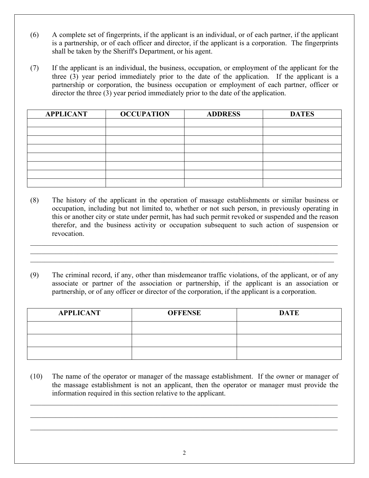- (6) A complete set of fingerprints, if the applicant is an individual, or of each partner, if the applicant is a partnership, or of each officer and director, if the applicant is a corporation. The fingerprints shall be taken by the Sheriff's Department, or his agent.
- (7) If the applicant is an individual, the business, occupation, or employment of the applicant for the three (3) year period immediately prior to the date of the application. If the applicant is a partnership or corporation, the business occupation or employment of each partner, officer or director the three (3) year period immediately prior to the date of the application.

| <b>APPLICANT</b> | <b>OCCUPATION</b> | <b>ADDRESS</b> | <b>DATES</b> |
|------------------|-------------------|----------------|--------------|
|                  |                   |                |              |
|                  |                   |                |              |
|                  |                   |                |              |
|                  |                   |                |              |
|                  |                   |                |              |
|                  |                   |                |              |
|                  |                   |                |              |
|                  |                   |                |              |

- (8) The history of the applicant in the operation of massage establishments or similar business or occupation, including but not limited to, whether or not such person, in previously operating in this or another city or state under permit, has had such permit revoked or suspended and the reason therefor, and the business activity or occupation subsequent to such action of suspension or revocation.
- (9) The criminal record, if any, other than misdemeanor traffic violations, of the applicant, or of any associate or partner of the association or partnership, if the applicant is an association or partnership, or of any officer or director of the corporation, if the applicant is a corporation.

| <b>APPLICANT</b> | <b>OFFENSE</b> | <b>DATE</b> |
|------------------|----------------|-------------|
|                  |                |             |
|                  |                |             |
|                  |                |             |

(10) The name of the operator or manager of the massage establishment. If the owner or manager of the massage establishment is not an applicant, then the operator or manager must provide the information required in this section relative to the applicant.

 $\_$  , and the state of the state of the state of the state of the state of the state of the state of the state of the state of the state of the state of the state of the state of the state of the state of the state of the